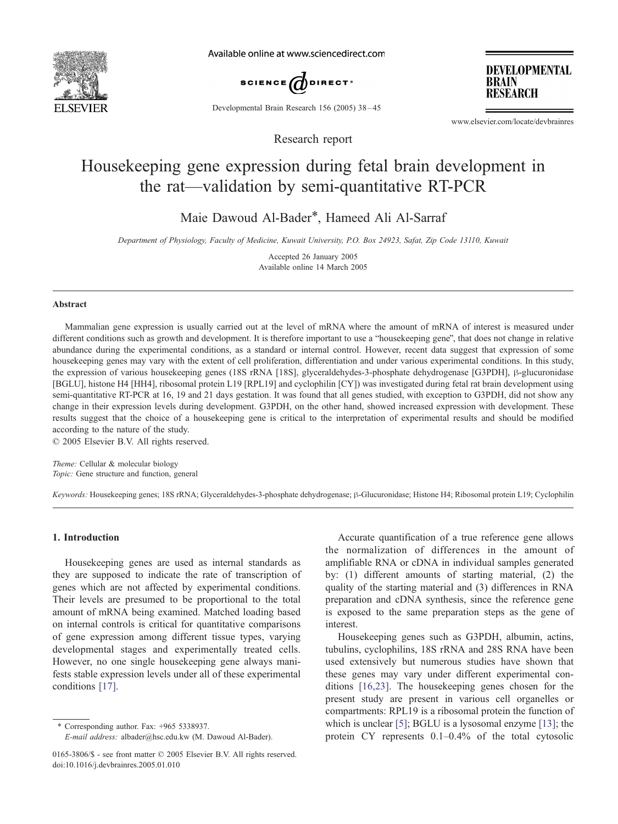

Available online at www.sciencedirect.com



Developmental Brain Research 156 (2005) 38 – 45

**DEVELOPMENTAL BRAIN RESEARCH** 

www.elsevier.com/locate/devbrainres

# Housekeeping gene expression during fetal brain development in the rat—validation by semi-quantitative RT-PCR

Research report

Maie Dawoud Al-Bader\*, Hameed Ali Al-Sarraf

Department of Physiology, Faculty of Medicine, Kuwait University, P.O. Box 24923, Safat, Zip Code 13110, Kuwait

Accepted 26 January 2005 Available online 14 March 2005

#### Abstract

Mammalian gene expression is usually carried out at the level of mRNA where the amount of mRNA of interest is measured under different conditions such as growth and development. It is therefore important to use a "housekeeping gene", that does not change in relative abundance during the experimental conditions, as a standard or internal control. However, recent data suggest that expression of some housekeeping genes may vary with the extent of cell proliferation, differentiation and under various experimental conditions. In this study, the expression of various housekeeping genes (18S rRNA [18S], glyceraldehydes-3-phosphate dehydrogenase [G3PDH], β-glucuronidase [BGLU], histone H4 [HH4], ribosomal protein L19 [RPL19] and cyclophilin [CY]) was investigated during fetal rat brain development using semi-quantitative RT-PCR at 16, 19 and 21 days gestation. It was found that all genes studied, with exception to G3PDH, did not show any change in their expression levels during development. G3PDH, on the other hand, showed increased expression with development. These results suggest that the choice of a housekeeping gene is critical to the interpretation of experimental results and should be modified according to the nature of the study.

 $\odot$  2005 Elsevier B.V. All rights reserved.

Theme: Cellular & molecular biology Topic: Gene structure and function, general

Keywords: Housekeeping genes; 18S rRNA; Glyceraldehydes-3-phosphate dehydrogenase; B-Glucuronidase; Histone H4; Ribosomal protein L19; Cyclophilin

## 1. Introduction

Housekeeping genes are used as internal standards as they are supposed to indicate the rate of transcription of genes which are not affected by experimental conditions. Their levels are presumed to be proportional to the total amount of mRNA being examined. Matched loading based on internal controls is critical for quantitative comparisons of gene expression among different tissue types, varying developmental stages and experimentally treated cells. However, no one single housekeeping gene always manifests stable expression levels under all of these experimental conditions [\[17\].](#page-7-0)

\* Corresponding author. Fax:  $+965$  5338937.

E-mail address: albader@hsc.edu.kw (M. Dawoud Al-Bader).

Accurate quantification of a true reference gene allows the normalization of differences in the amount of amplifiable RNA or cDNA in individual samples generated by: (1) different amounts of starting material, (2) the quality of the starting material and (3) differences in RNA preparation and cDNA synthesis, since the reference gene is exposed to the same preparation steps as the gene of interest.

Housekeeping genes such as G3PDH, albumin, actins, tubulins, cyclophilins, 18S rRNA and 28S RNA have been used extensively but numerous studies have shown that these genes may vary under different experimental conditions [\[16,23\].](#page-7-0) The housekeeping genes chosen for the present study are present in various cell organelles or compartments: RPL19 is a ribosomal protein the function of which is unclear [\[5\];](#page-7-0) BGLU is a lysosomal enzyme [\[13\];](#page-7-0) the protein CY represents 0.1–0.4% of the total cytosolic

<sup>0165-3806/\$ -</sup> see front matter © 2005 Elsevier B.V. All rights reserved. doi:10.1016/j.devbrainres.2005.01.010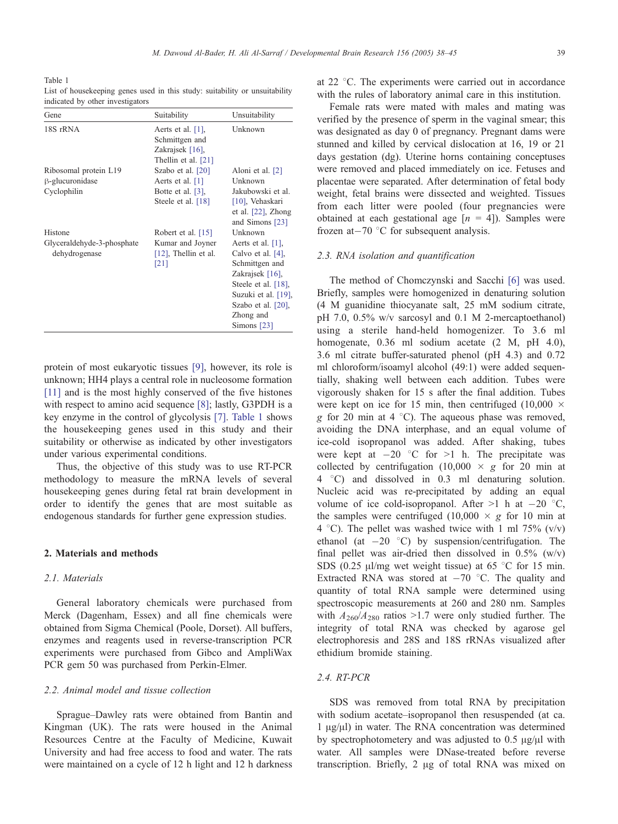<span id="page-1-0"></span>Table 1 List of housekeeping genes used in this study: suitability or unsuitability indicated by other investigators

| Gene                                        | Suitability                                                                      | Unsuitability                                                                                                                                                                    |
|---------------------------------------------|----------------------------------------------------------------------------------|----------------------------------------------------------------------------------------------------------------------------------------------------------------------------------|
| 18S rRNA                                    | Aerts et al. $[1]$ ,<br>Schmittgen and<br>Zakrajsek [16],<br>Thellin et al. [21] | Unknown                                                                                                                                                                          |
| Ribosomal protein L19                       | Szabo et al. [20]                                                                | Aloni et al. [2]                                                                                                                                                                 |
| β-glucuronidase                             | Aerts et al. [1]                                                                 | Unknown                                                                                                                                                                          |
| Cyclophilin                                 | Botte et al. $[3]$ ,<br>Steele et al. [18]                                       | Jakubowski et al.<br>$[10]$ , Vehaskari<br>et al. $[22]$ , Zhong<br>and Simons [23]                                                                                              |
| Histone                                     | Robert et al. $[15]$                                                             | Unknown                                                                                                                                                                          |
| Glyceraldehyde-3-phosphate<br>dehydrogenase | Kumar and Joyner<br>$[12]$ , Thellin et al.<br>[21]                              | Aerts et al. $[1]$ ,<br>Calvo et al. [4],<br>Schmittgen and<br>Zakrajsek [16],<br>Steele et al. [18],<br>Suzuki et al. [19],<br>Szabo et al. [20],<br>Zhong and<br>Simons $[23]$ |

protein of most eukaryotic tissues [\[9\],](#page-7-0) however, its role is unknown; HH4 plays a central role in nucleosome formation [\[11\]](#page-7-0) and is the most highly conserved of the five histones with respect to amino acid sequence [\[8\];](#page-7-0) lastly, G3PDH is a key enzyme in the control of glycolysis [\[7\].](#page-7-0) Table 1 shows the housekeeping genes used in this study and their suitability or otherwise as indicated by other investigators under various experimental conditions.

Thus, the objective of this study was to use RT-PCR methodology to measure the mRNA levels of several housekeeping genes during fetal rat brain development in order to identify the genes that are most suitable as endogenous standards for further gene expression studies.

## 2. Materials and methods

## 2.1. Materials

General laboratory chemicals were purchased from Merck (Dagenham, Essex) and all fine chemicals were obtained from Sigma Chemical (Poole, Dorset). All buffers, enzymes and reagents used in reverse-transcription PCR experiments were purchased from Gibco and AmpliWax PCR gem 50 was purchased from Perkin-Elmer.

## 2.2. Animal model and tissue collection

Sprague–Dawley rats were obtained from Bantin and Kingman (UK). The rats were housed in the Animal Resources Centre at the Faculty of Medicine, Kuwait University and had free access to food and water. The rats were maintained on a cycle of 12 h light and 12 h darkness

at  $22^{\circ}$ C. The experiments were carried out in accordance with the rules of laboratory animal care in this institution.

Female rats were mated with males and mating was verified by the presence of sperm in the vaginal smear; this was designated as day 0 of pregnancy. Pregnant dams were stunned and killed by cervical dislocation at 16, 19 or 21 days gestation (dg). Uterine horns containing conceptuses were removed and placed immediately on ice. Fetuses and placentae were separated. After determination of fetal body weight, fetal brains were dissected and weighted. Tissues from each litter were pooled (four pregnancies were obtained at each gestational age  $[n = 4]$ ). Samples were frozen at $-70$  °C for subsequent analysis.

## 2.3. RNA isolation and quantification

The method of Chomczynski and Sacchi [\[6\]](#page-7-0) was used. Briefly, samples were homogenized in denaturing solution (4 M guanidine thiocyanate salt, 25 mM sodium citrate, pH 7.0, 0.5% w/v sarcosyl and 0.1 M 2-mercaptoethanol) using a sterile hand-held homogenizer. To 3.6 ml homogenate, 0.36 ml sodium acetate (2 M, pH 4.0), 3.6 ml citrate buffer-saturated phenol (pH 4.3) and 0.72 ml chloroform/isoamyl alcohol (49:1) were added sequentially, shaking well between each addition. Tubes were vigorously shaken for 15 s after the final addition. Tubes were kept on ice for 15 min, then centrifuged (10,000  $\times$ g for 20 min at 4  $^{\circ}$ C). The aqueous phase was removed, avoiding the DNA interphase, and an equal volume of ice-cold isopropanol was added. After shaking, tubes were kept at  $-20$  °C for >1 h. The precipitate was collected by centrifugation (10,000  $\times$  g for 20 min at 4 8C) and dissolved in 0.3 ml denaturing solution. Nucleic acid was re-precipitated by adding an equal volume of ice cold-isopropanol. After  $>1$  h at  $-20$  °C, the samples were centrifuged  $(10,000 \times g)$  for 10 min at 4 °C). The pellet was washed twice with 1 ml  $75\%$  (v/v) ethanol (at  $-20$  °C) by suspension/centrifugation. The final pellet was air-dried then dissolved in  $0.5\%$  (w/v) SDS (0.25  $\mu$ l/mg wet weight tissue) at 65 °C for 15 min. Extracted RNA was stored at  $-70$  °C. The quality and quantity of total RNA sample were determined using spectroscopic measurements at 260 and 280 nm. Samples with  $A_{260}/A_{280}$  ratios >1.7 were only studied further. The integrity of total RNA was checked by agarose gel electrophoresis and 28S and 18S rRNAs visualized after ethidium bromide staining.

## 2.4. RT-PCR

SDS was removed from total RNA by precipitation with sodium acetate–isopropanol then resuspended (at ca.  $1 \mu g/\mu$ ) in water. The RNA concentration was determined by spectrophotometery and was adjusted to  $0.5 \mu g/\mu l$  with water. All samples were DNase-treated before reverse transcription. Briefly, 2 µg of total RNA was mixed on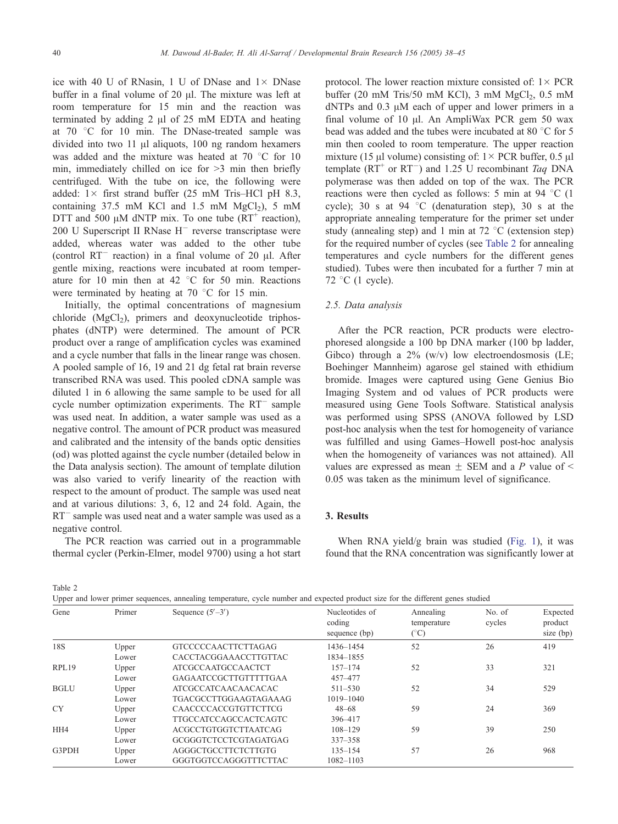ice with 40 U of RNasin, 1 U of DNase and  $1 \times$  DNase buffer in a final volume of 20  $\mu$ l. The mixture was left at room temperature for 15 min and the reaction was terminated by adding  $2 \mu l$  of  $25 \mu m$  EDTA and heating at  $70$  °C for 10 min. The DNase-treated sample was divided into two  $11 \mu l$  aliquots, 100 ng random hexamers was added and the mixture was heated at  $70\degree C$  for 10 min, immediately chilled on ice for  $>3$  min then briefly centrifuged. With the tube on ice, the following were added:  $1 \times$  first strand buffer (25 mM Tris-HCl pH 8.3, containing  $37.5$  mM KCl and  $1.5$  mM MgCl<sub>2</sub>),  $5$  mM DTT and 500  $\mu$ M dNTP mix. To one tube (RT<sup>+</sup> reaction), 200 U Superscript II RNase  $H^-$  reverse transcriptase were added, whereas water was added to the other tube (control  $RT^-$  reaction) in a final volume of 20  $\mu$ l. After gentle mixing, reactions were incubated at room temperature for 10 min then at 42  $\degree$ C for 50 min. Reactions were terminated by heating at  $70^{\circ}$ C for 15 min.

Initially, the optimal concentrations of magnesium chloride  $(MgCl<sub>2</sub>)$ , primers and deoxynucleotide triphosphates (dNTP) were determined. The amount of PCR product over a range of amplification cycles was examined and a cycle number that falls in the linear range was chosen. A pooled sample of 16, 19 and 21 dg fetal rat brain reverse transcribed RNA was used. This pooled cDNA sample was diluted 1 in 6 allowing the same sample to be used for all cycle number optimization experiments. The  $RT^-$  sample was used neat. In addition, a water sample was used as a negative control. The amount of PCR product was measured and calibrated and the intensity of the bands optic densities (od) was plotted against the cycle number (detailed below in the Data analysis section). The amount of template dilution was also varied to verify linearity of the reaction with respect to the amount of product. The sample was used neat and at various dilutions: 3, 6, 12 and 24 fold. Again, the RT<sup>-</sup> sample was used neat and a water sample was used as a negative control.

The PCR reaction was carried out in a programmable thermal cycler (Perkin-Elmer, model 9700) using a hot start

protocol. The lower reaction mixture consisted of:  $1 \times PCR$ buffer (20 mM Tris/50 mM KCl), 3 mM  $MgCl<sub>2</sub>$ , 0.5 mM  $dNTPs$  and 0.3  $\mu$ M each of upper and lower primers in a final volume of 10  $\mu$ l. An AmpliWax PCR gem 50 wax bead was added and the tubes were incubated at 80 $\degree$ C for 5 min then cooled to room temperature. The upper reaction mixture (15  $\mu$ l volume) consisting of:  $1 \times$  PCR buffer, 0.5  $\mu$ l template ( $RT^+$  or  $RT^-$ ) and 1.25 U recombinant Taq DNA polymerase was then added on top of the wax. The PCR reactions were then cycled as follows: 5 min at 94  $\degree$ C (1) cycle); 30 s at 94  $\degree$ C (denaturation step), 30 s at the appropriate annealing temperature for the primer set under study (annealing step) and 1 min at  $72 \degree C$  (extension step) for the required number of cycles (see Table 2 for annealing temperatures and cycle numbers for the different genes studied). Tubes were then incubated for a further 7 min at 72  $\degree$ C (1 cycle).

## 2.5. Data analysis

After the PCR reaction, PCR products were electrophoresed alongside a 100 bp DNA marker (100 bp ladder, Gibco) through a  $2\%$  (w/v) low electroendosmosis (LE; Boehinger Mannheim) agarose gel stained with ethidium bromide. Images were captured using Gene Genius Bio Imaging System and od values of PCR products were measured using Gene Tools Software. Statistical analysis was performed using SPSS (ANOVA followed by LSD post-hoc analysis when the test for homogeneity of variance was fulfilled and using Games–Howell post-hoc analysis when the homogeneity of variances was not attained). All values are expressed as mean  $\pm$  SEM and a P value of  $\le$ 0.05 was taken as the minimum level of significance.

## 3. Results

When RNA yield/g brain was studied ([Fig. 1\)](#page-3-0), it was found that the RNA concentration was significantly lower at

Table 2

|  |  | Upper and lower primer sequences, annealing temperature, cycle number and expected product size for the different genes studied |  |  |  |  |
|--|--|---------------------------------------------------------------------------------------------------------------------------------|--|--|--|--|
|  |  |                                                                                                                                 |  |  |  |  |

| Gene        | Primer | Sequence $(5'-3')$           | Nucleotides of<br>coding<br>sequence (bp) | Annealing<br>temperature<br>$(^\circ C)$ | No. of<br>cycles | Expected<br>product<br>size (bp) |  |
|-------------|--------|------------------------------|-------------------------------------------|------------------------------------------|------------------|----------------------------------|--|
| 18S         | Upper  | GTCCCCCAACTTCTTAGAG          | 1436-1454                                 | 52                                       | 26               | 419                              |  |
|             | Lower  | <b>CACCTACGGAAACCTTGTTAC</b> | 1834-1855                                 |                                          |                  |                                  |  |
| RPL19       | Upper  | <b>ATCGCCAATGCCAACTCT</b>    | $157 - 174$                               | 52                                       | 33               | 321                              |  |
|             | Lower  | GAGAATCCGCTTGTTTTTGAA        | 457-477                                   |                                          |                  |                                  |  |
| <b>BGLU</b> | Upper  | <b>ATCGCCATCAACAACACAC</b>   | $511 - 530$                               | 52                                       | 34               | 529                              |  |
|             | Lower  | TGACGCCTTGGAAGTAGAAAG        | $1019 - 1040$                             |                                          |                  |                                  |  |
| <b>CY</b>   | Upper  | <b>CAACCCCACCGTGTTCTTCG</b>  | $48 - 68$                                 | 59                                       | 24               | 369                              |  |
|             | Lower  | <b>TTGCCATCCAGCCACTCAGTC</b> | 396-417                                   |                                          |                  |                                  |  |
| HH4         | Upper  | <b>ACGCCTGTGGTCTTAATCAG</b>  | $108 - 129$                               | 59                                       | 39               | 250                              |  |
|             | Lower  | <b>GCGGGTCTCCTCGTAGATGAG</b> | $337 - 358$                               |                                          |                  |                                  |  |
| G3PDH       | Upper  | AGGGCTGCCTTCTCTTGTG          | $135 - 154$                               | 57                                       | 26               | 968                              |  |
|             | Lower  | GGGTGGTCCAGGGTTTCTTAC        | 1082-1103                                 |                                          |                  |                                  |  |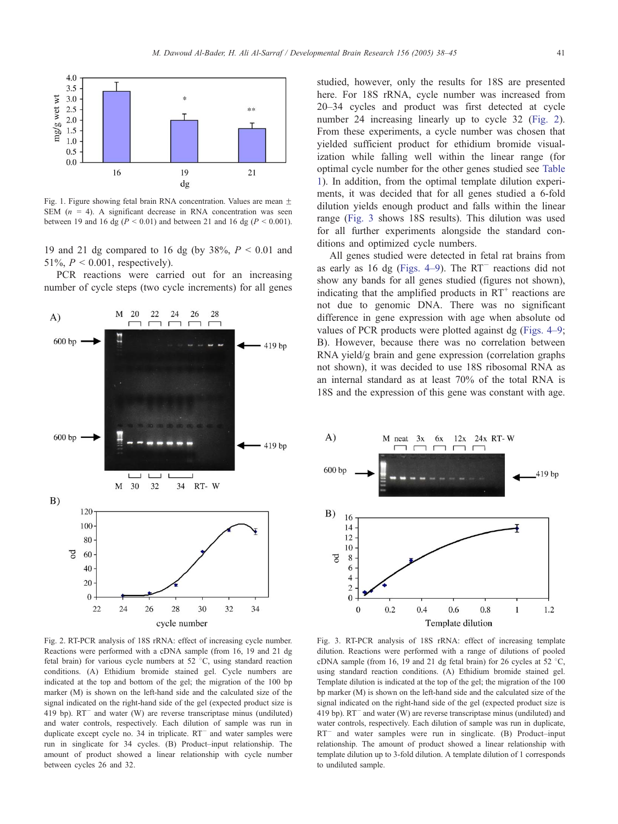<span id="page-3-0"></span>

Fig. 1. Figure showing fetal brain RNA concentration. Values are mean  $\pm$ SEM  $(n = 4)$ . A significant decrease in RNA concentration was seen between 19 and 16 dg ( $P < 0.01$ ) and between 21 and 16 dg ( $P < 0.001$ ).

19 and 21 dg compared to 16 dg (by  $38\%$ ,  $P < 0.01$  and 51%,  $P < 0.001$ , respectively).

PCR reactions were carried out for an increasing number of cycle steps (two cycle increments) for all genes



Fig. 2. RT-PCR analysis of 18S rRNA: effect of increasing cycle number. Reactions were performed with a cDNA sample (from 16, 19 and 21 dg fetal brain) for various cycle numbers at 52  $\degree$ C, using standard reaction conditions. (A) Ethidium bromide stained gel. Cycle numbers are indicated at the top and bottom of the gel; the migration of the 100 bp marker (M) is shown on the left-hand side and the calculated size of the signal indicated on the right-hand side of the gel (expected product size is 419 bp).  $RT^-$  and water (W) are reverse transcriptase minus (undiluted) and water controls, respectively. Each dilution of sample was run in duplicate except cycle no.  $34$  in triplicate.  $RT^-$  and water samples were run in singlicate for 34 cycles. (B) Product–input relationship. The amount of product showed a linear relationship with cycle number between cycles 26 and 32.

studied, however, only the results for 18S are presented here. For 18S rRNA, cycle number was increased from 20–34 cycles and product was first detected at cycle number 24 increasing linearly up to cycle 32 (Fig. 2). From these experiments, a cycle number was chosen that yielded sufficient product for ethidium bromide visualization while falling well within the linear range (for optimal cycle number for the other genes studied see [Table](#page-1-0) 1). In addition, from the optimal template dilution experiments, it was decided that for all genes studied a 6-fold dilution yields enough product and falls within the linear range (Fig. 3 shows 18S results). This dilution was used for all further experiments alongside the standard conditions and optimized cycle numbers.

All genes studied were detected in fetal rat brains from as early as 16 dg (Figs.  $4-9$ ). The RT<sup>-</sup> reactions did not show any bands for all genes studied (figures not shown), indicating that the amplified products in  $RT^+$  reactions are not due to genomic DNA. There was no significant difference in gene expression with age when absolute od values of PCR products were plotted against dg ([Figs. 4–9;](#page-4-0) B). However, because there was no correlation between RNA yield/g brain and gene expression (correlation graphs not shown), it was decided to use 18S ribosomal RNA as an internal standard as at least 70% of the total RNA is 18S and the expression of this gene was constant with age.



Fig. 3. RT-PCR analysis of 18S rRNA: effect of increasing template dilution. Reactions were performed with a range of dilutions of pooled cDNA sample (from 16, 19 and 21 dg fetal brain) for 26 cycles at 52  $^{\circ}$ C, using standard reaction conditions. (A) Ethidium bromide stained gel. Template dilution is indicated at the top of the gel; the migration of the 100 bp marker (M) is shown on the left-hand side and the calculated size of the signal indicated on the right-hand side of the gel (expected product size is 419 bp).  $RT^-$  and water (W) are reverse transcriptase minus (undiluted) and water controls, respectively. Each dilution of sample was run in duplicate,  $RT^-$  and water samples were run in singlicate. (B) Product–input relationship. The amount of product showed a linear relationship with template dilution up to 3-fold dilution. A template dilution of 1 corresponds to undiluted sample.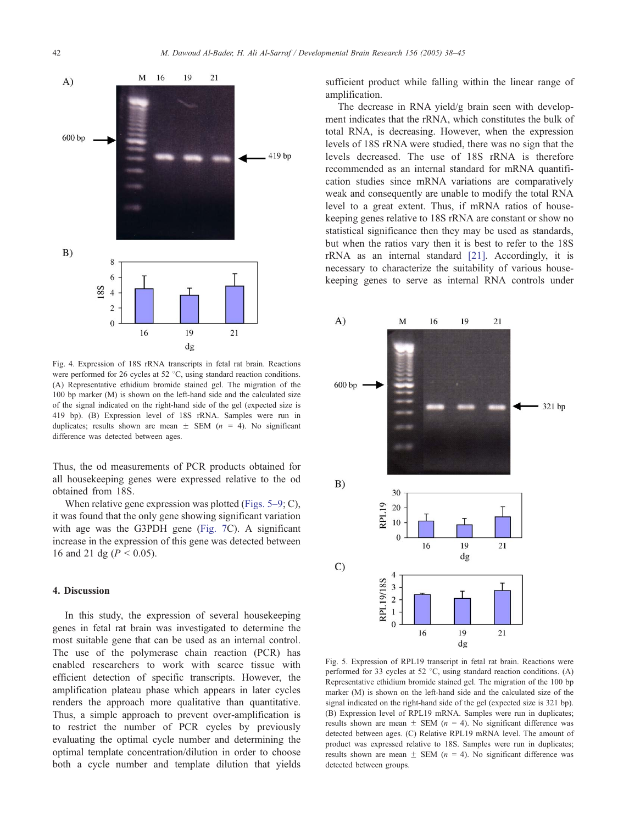<span id="page-4-0"></span>

Fig. 4. Expression of 18S rRNA transcripts in fetal rat brain. Reactions were performed for 26 cycles at 52  $\degree$ C, using standard reaction conditions. (A) Representative ethidium bromide stained gel. The migration of the 100 bp marker (M) is shown on the left-hand side and the calculated size of the signal indicated on the right-hand side of the gel (expected size is 419 bp). (B) Expression level of 18S rRNA. Samples were run in duplicates; results shown are mean  $\pm$  SEM (n = 4). No significant difference was detected between ages.

Thus, the od measurements of PCR products obtained for all housekeeping genes were expressed relative to the od obtained from 18S.

When relative gene expression was plotted (Figs. 5–9; C), it was found that the only gene showing significant variation with age was the G3PDH gene ([Fig. 7C](#page-5-0)). A significant increase in the expression of this gene was detected between 16 and 21 dg ( $P < 0.05$ ).

## 4. Discussion

In this study, the expression of several housekeeping genes in fetal rat brain was investigated to determine the most suitable gene that can be used as an internal control. The use of the polymerase chain reaction (PCR) has enabled researchers to work with scarce tissue with efficient detection of specific transcripts. However, the amplification plateau phase which appears in later cycles renders the approach more qualitative than quantitative. Thus, a simple approach to prevent over-amplification is to restrict the number of PCR cycles by previously evaluating the optimal cycle number and determining the optimal template concentration/dilution in order to choose both a cycle number and template dilution that yields sufficient product while falling within the linear range of amplification.

The decrease in RNA yield/g brain seen with development indicates that the rRNA, which constitutes the bulk of total RNA, is decreasing. However, when the expression levels of 18S rRNA were studied, there was no sign that the levels decreased. The use of 18S rRNA is therefore recommended as an internal standard for mRNA quantification studies since mRNA variations are comparatively weak and consequently are unable to modify the total RNA level to a great extent. Thus, if mRNA ratios of housekeeping genes relative to 18S rRNA are constant or show no statistical significance then they may be used as standards, but when the ratios vary then it is best to refer to the 18S rRNA as an internal standard [\[21\].](#page-7-0) Accordingly, it is necessary to characterize the suitability of various housekeeping genes to serve as internal RNA controls under



Fig. 5. Expression of RPL19 transcript in fetal rat brain. Reactions were performed for 33 cycles at 52  $^{\circ}$ C, using standard reaction conditions. (A) Representative ethidium bromide stained gel. The migration of the 100 bp marker (M) is shown on the left-hand side and the calculated size of the signal indicated on the right-hand side of the gel (expected size is 321 bp). (B) Expression level of RPL19 mRNA. Samples were run in duplicates; results shown are mean  $\pm$  SEM (n = 4). No significant difference was detected between ages. (C) Relative RPL19 mRNA level. The amount of product was expressed relative to 18S. Samples were run in duplicates; results shown are mean  $\pm$  SEM (n = 4). No significant difference was detected between groups.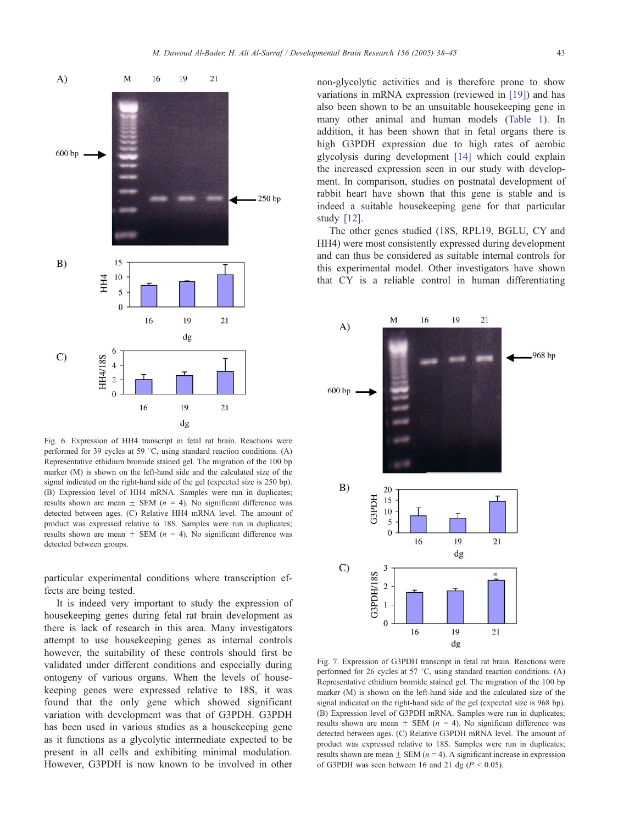<span id="page-5-0"></span>

Fig. 6. Expression of HH4 transcript in fetal rat brain. Reactions were performed for 39 cycles at 59  $^{\circ}$ C, using standard reaction conditions. (A) Representative ethidium bromide stained gel. The migration of the 100 bp marker (M) is shown on the left-hand side and the calculated size of the signal indicated on the right-hand side of the gel (expected size is 250 bp). (B) Expression level of HH4 mRNA. Samples were run in duplicates; results shown are mean  $\pm$  SEM (n = 4). No significant difference was detected between ages. (C) Relative HH4 mRNA level. The amount of product was expressed relative to 18S. Samples were run in duplicates; results shown are mean  $\pm$  SEM (n = 4). No significant difference was detected between groups.

particular experimental conditions where transcription effects are being tested.

It is indeed very important to study the expression of housekeeping genes during fetal rat brain development as there is lack of research in this area. Many investigators attempt to use housekeeping genes as internal controls however, the suitability of these controls should first be validated under different conditions and especially during ontogeny of various organs. When the levels of housekeeping genes were expressed relative to 18S, it was found that the only gene which showed significant variation with development was that of G3PDH. G3PDH has been used in various studies as a housekeeping gene as it functions as a glycolytic intermediate expected to be present in all cells and exhibiting minimal modulation. However, G3PDH is now known to be involved in other

non-glycolytic activities and is therefore prone to show variations in mRNA expression (reviewed in [\[19\]\)](#page-7-0) and has also been shown to be an unsuitable housekeeping gene in many other animal and human models ([Table 1\)](#page-1-0). In addition, it has been shown that in fetal organs there is high G3PDH expression due to high rates of aerobic glycolysis during development [\[14\]](#page-7-0) which could explain the increased expression seen in our study with development. In comparison, studies on postnatal development of rabbit heart have shown that this gene is stable and is indeed a suitable housekeeping gene for that particular study [\[12\].](#page-7-0)

The other genes studied (18S, RPL19, BGLU, CY and HH4) were most consistently expressed during development and can thus be considered as suitable internal controls for this experimental model. Other investigators have shown that CY is a reliable control in human differentiating



Fig. 7. Expression of G3PDH transcript in fetal rat brain. Reactions were performed for 26 cycles at 57  $^{\circ}$ C, using standard reaction conditions. (A) Representative ethidium bromide stained gel. The migration of the 100 bp marker (M) is shown on the left-hand side and the calculated size of the signal indicated on the right-hand side of the gel (expected size is 968 bp). (B) Expression level of G3PDH mRNA. Samples were run in duplicates; results shown are mean  $\pm$  SEM (n = 4). No significant difference was detected between ages. (C) Relative G3PDH mRNA level. The amount of product was expressed relative to 18S. Samples were run in duplicates; results shown are mean  $\pm$  SEM (n = 4). A significant increase in expression of G3PDH was seen between 16 and 21 dg ( $P < 0.05$ ).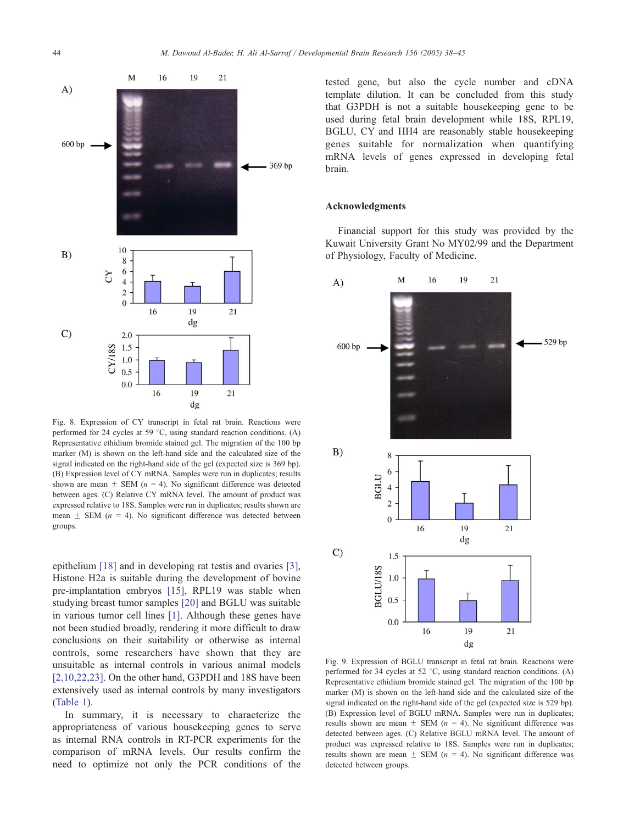

Fig. 8. Expression of CY transcript in fetal rat brain. Reactions were performed for 24 cycles at 59  $^{\circ}$ C, using standard reaction conditions. (A) Representative ethidium bromide stained gel. The migration of the 100 bp marker (M) is shown on the left-hand side and the calculated size of the signal indicated on the right-hand side of the gel (expected size is 369 bp). (B) Expression level of CY mRNA. Samples were run in duplicates; results shown are mean  $\pm$  SEM (n = 4). No significant difference was detected between ages. (C) Relative CY mRNA level. The amount of product was expressed relative to 18S. Samples were run in duplicates; results shown are mean  $\pm$  SEM (n = 4). No significant difference was detected between groups.

epithelium [\[18\]](#page-7-0) and in developing rat testis and ovaries [\[3\],](#page-7-0) Histone H2a is suitable during the development of bovine pre-implantation embryos [\[15\],](#page-7-0) RPL19 was stable when studying breast tumor samples [\[20\]](#page-7-0) and BGLU was suitable in various tumor cell lines [\[1\].](#page-7-0) Although these genes have not been studied broadly, rendering it more difficult to draw conclusions on their suitability or otherwise as internal controls, some researchers have shown that they are unsuitable as internal controls in various animal models [\[2,10,22,23\].](#page-7-0) On the other hand, G3PDH and 18S have been extensively used as internal controls by many investigators ([Table 1](#page-1-0)).

In summary, it is necessary to characterize the appropriateness of various housekeeping genes to serve as internal RNA controls in RT-PCR experiments for the comparison of mRNA levels. Our results confirm the need to optimize not only the PCR conditions of the tested gene, but also the cycle number and cDNA template dilution. It can be concluded from this study that G3PDH is not a suitable housekeeping gene to be used during fetal brain development while 18S, RPL19, BGLU, CY and HH4 are reasonably stable housekeeping genes suitable for normalization when quantifying mRNA levels of genes expressed in developing fetal brain.

## Acknowledgments

Financial support for this study was provided by the Kuwait University Grant No MY02/99 and the Department of Physiology, Faculty of Medicine.



Fig. 9. Expression of BGLU transcript in fetal rat brain. Reactions were performed for 34 cycles at 52  $^{\circ}$ C, using standard reaction conditions. (A) Representative ethidium bromide stained gel. The migration of the 100 bp marker (M) is shown on the left-hand side and the calculated size of the signal indicated on the right-hand side of the gel (expected size is 529 bp). (B) Expression level of BGLU mRNA. Samples were run in duplicates; results shown are mean  $\pm$  SEM (n = 4). No significant difference was detected between ages. (C) Relative BGLU mRNA level. The amount of product was expressed relative to 18S. Samples were run in duplicates; results shown are mean  $\pm$  SEM (n = 4). No significant difference was detected between groups.